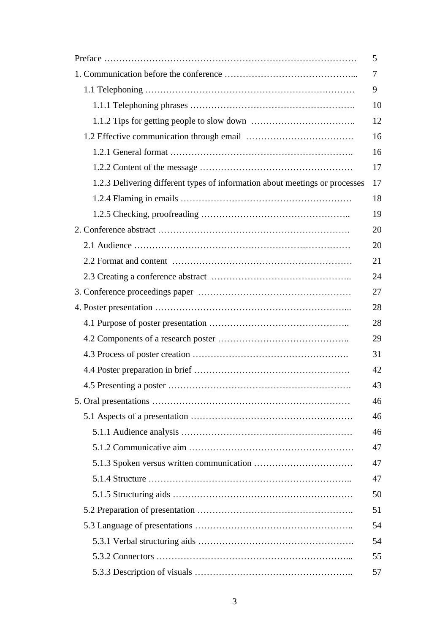|                                                                             | 5  |
|-----------------------------------------------------------------------------|----|
|                                                                             | 7  |
|                                                                             | 9  |
|                                                                             | 10 |
|                                                                             | 12 |
|                                                                             | 16 |
|                                                                             | 16 |
|                                                                             | 17 |
| 1.2.3 Delivering different types of information about meetings or processes | 17 |
|                                                                             | 18 |
|                                                                             | 19 |
|                                                                             | 20 |
|                                                                             | 20 |
|                                                                             | 21 |
|                                                                             | 24 |
|                                                                             | 27 |
|                                                                             | 28 |
|                                                                             | 28 |
|                                                                             | 29 |
|                                                                             | 31 |
|                                                                             | 42 |
|                                                                             | 43 |
|                                                                             | 46 |
|                                                                             | 46 |
|                                                                             | 46 |
|                                                                             | 47 |
|                                                                             | 47 |
|                                                                             | 47 |
|                                                                             | 50 |
|                                                                             | 51 |
|                                                                             | 54 |
|                                                                             | 54 |
|                                                                             | 55 |
|                                                                             | 57 |